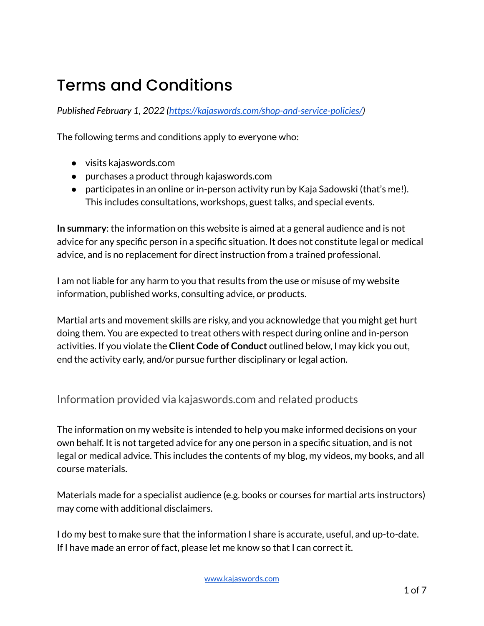# Terms and Conditions

*Published February 1, 2022 [\(https://kajaswords.com/shop-and-service-policies/\)](https://kajaswords.com/shop-and-service-policies/)*

The following terms and conditions apply to everyone who:

- visits kajaswords.com
- purchases a product through kajaswords.com
- participates in an online or in-person activity run by Kaja Sadowski (that's me!). This includes consultations, workshops, guest talks, and special events.

**In summary**: the information on this website is aimed at a general audience and is not advice for any specific person in a specific situation. It does not constitute legal or medical advice, and is no replacement for direct instruction from a trained professional.

I am not liable for any harm to you that results from the use or misuse of my website information, published works, consulting advice, or products.

Martial arts and movement skills are risky, and you acknowledge that you might get hurt doing them. You are expected to treat others with respect during online and in-person activities. If you violate the **Client Code of Conduct** outlined below, I may kick you out, end the activity early, and/or pursue further disciplinary or legal action.

Information provided via kajaswords.com and related products

The information on my website is intended to help you make informed decisions on your own behalf. It is not targeted advice for any one person in a specific situation, and is not legal or medical advice. This includes the contents of my blog, my videos, my books, and all course materials.

Materials made for a specialist audience (e.g. books or courses for martial arts instructors) may come with additional disclaimers.

I do my best to make sure that the information I share is accurate, useful, and up-to-date. If I have made an error of fact, please let me know so that I can correct it.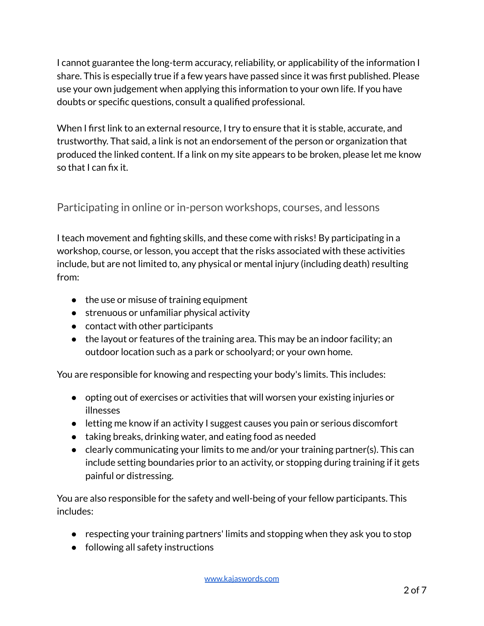I cannot guarantee the long-term accuracy, reliability, or applicability of the information I share. This is especially true if a few years have passed since it was first published. Please use your own judgement when applying this information to your own life. If you have doubts or specific questions, consult a qualified professional.

When I first link to an external resource, I try to ensure that it is stable, accurate, and trustworthy. That said, a link is not an endorsement of the person or organization that produced the linked content. If a link on my site appears to be broken, please let me know so that I can fix it.

## Participating in online or in-person workshops, courses, and lessons

I teach movement and fighting skills, and these come with risks! By participating in a workshop, course, or lesson, you accept that the risks associated with these activities include, but are not limited to, any physical or mental injury (including death) resulting from:

- the use or misuse of training equipment
- strenuous or unfamiliar physical activity
- contact with other participants
- $\bullet$  the layout or features of the training area. This may be an indoor facility; an outdoor location such as a park or schoolyard; or your own home.

You are responsible for knowing and respecting your body's limits. This includes:

- opting out of exercises or activities that will worsen your existing injuries or illnesses
- letting me know if an activity I suggest causes you pain or serious discomfort
- taking breaks, drinking water, and eating food as needed
- clearly communicating your limits to me and/or your training partner(s). This can include setting boundaries prior to an activity, or stopping during training if it gets painful or distressing.

You are also responsible for the safety and well-being of your fellow participants. This includes:

- respecting your training partners' limits and stopping when they ask you to stop
- following all safety instructions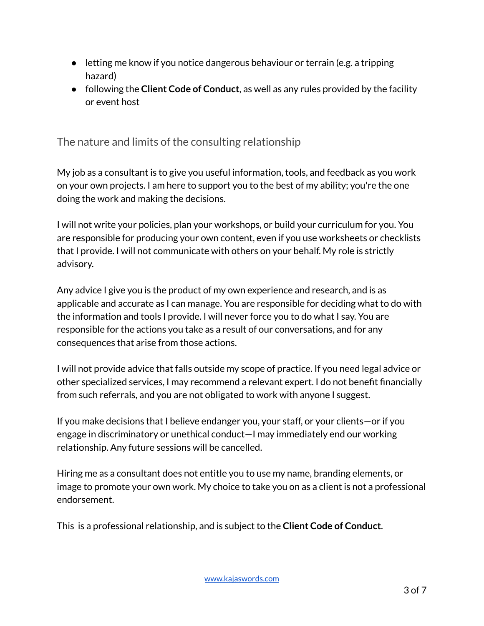- letting me know if you notice dangerous behaviour or terrain (e.g. a tripping hazard)
- following the **Client Code of Conduct**, as well as any rules provided by the facility or event host

The nature and limits of the consulting relationship

My job as a consultant is to give you useful information, tools, and feedback as you work on your own projects. I am here to support you to the best of my ability; you're the one doing the work and making the decisions.

I will not write your policies, plan your workshops, or build your curriculum for you. You are responsible for producing your own content, even if you use worksheets or checklists that I provide. I will not communicate with others on your behalf. My role is strictly advisory.

Any advice I give you is the product of my own experience and research, and is as applicable and accurate as I can manage. You are responsible for deciding what to do with the information and tools I provide. I will never force you to do what I say. You are responsible for the actions you take as a result of our conversations, and for any consequences that arise from those actions.

I will not provide advice that falls outside my scope of practice. If you need legal advice or other specialized services, I may recommend a relevant expert. I do not benefit financially from such referrals, and you are not obligated to work with anyone I suggest.

If you make decisions that I believe endanger you, your staff, or your clients—or if you engage in discriminatory or unethical conduct—I may immediately end our working relationship. Any future sessions will be cancelled.

Hiring me as a consultant does not entitle you to use my name, branding elements, or image to promote your own work. My choice to take you on as a client is not a professional endorsement.

This is a professional relationship, and is subject to the **Client Code of Conduct**.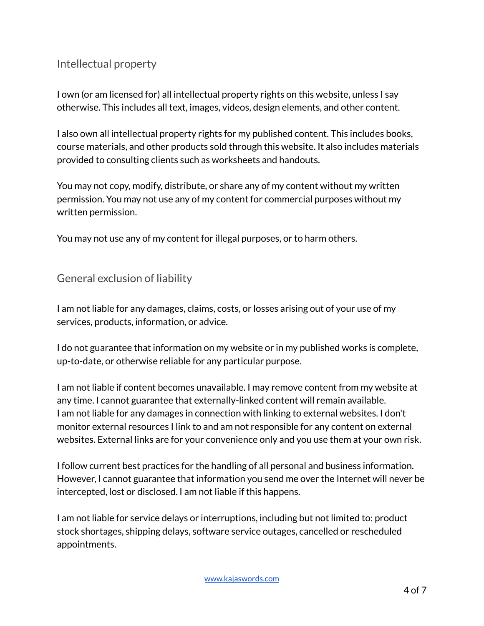### Intellectual property

I own (or am licensed for) all intellectual property rights on this website, unless I say otherwise. This includes all text, images, videos, design elements, and other content.

I also own all intellectual property rights for my published content. This includes books, course materials, and other products sold through this website. It also includes materials provided to consulting clients such as worksheets and handouts.

You may not copy, modify, distribute, or share any of my content without my written permission. You may not use any of my content for commercial purposes without my written permission.

You may not use any of my content for illegal purposes, or to harm others.

#### General exclusion of liability

I am not liable for any damages, claims, costs, or losses arising out of your use of my services, products, information, or advice.

I do not guarantee that information on my website or in my published works is complete, up-to-date, or otherwise reliable for any particular purpose.

I am not liable if content becomes unavailable. I may remove content from my website at any time. I cannot guarantee that externally-linked content will remain available. I am not liable for any damages in connection with linking to external websites. I don't monitor external resources I link to and am not responsible for any content on external websites. External links are for your convenience only and you use them at your own risk.

I follow current best practices for the handling of all personal and business information. However, I cannot guarantee that information you send me over the Internet will never be intercepted, lost or disclosed. I am not liable if this happens.

I am not liable for service delays or interruptions, including but not limited to: product stock shortages, shipping delays, software service outages, cancelled or rescheduled appointments.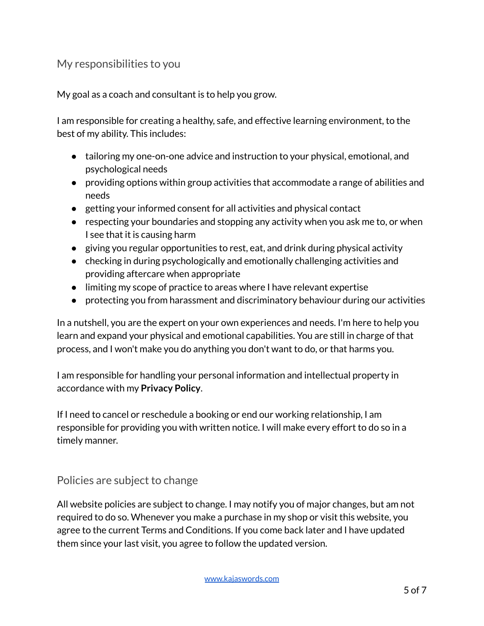#### My responsibilities to you

My goal as a coach and consultant is to help you grow.

I am responsible for creating a healthy, safe, and effective learning environment, to the best of my ability. This includes:

- tailoring my one-on-one advice and instruction to your physical, emotional, and psychological needs
- providing options within group activities that accommodate a range of abilities and needs
- getting your informed consent for all activities and physical contact
- respecting your boundaries and stopping any activity when you ask me to, or when I see that it is causing harm
- giving you regular opportunities to rest, eat, and drink during physical activity
- checking in during psychologically and emotionally challenging activities and providing aftercare when appropriate
- limiting my scope of practice to areas where I have relevant expertise
- protecting you from harassment and discriminatory behaviour during our activities

In a nutshell, you are the expert on your own experiences and needs. I'm here to help you learn and expand your physical and emotional capabilities. You are still in charge of that process, and I won't make you do anything you don't want to do, or that harms you.

I am responsible for handling your personal information and intellectual property in accordance with my **Privacy Policy**.

If I need to cancel or reschedule a booking or end our working relationship, I am responsible for providing you with written notice. I will make every effort to do so in a timely manner.

#### Policies are subject to change

All website policies are subject to change. I may notify you of major changes, but am not required to do so. Whenever you make a purchase in my shop or visit this website, you agree to the current Terms and Conditions. If you come back later and I have updated them since your last visit, you agree to follow the updated version.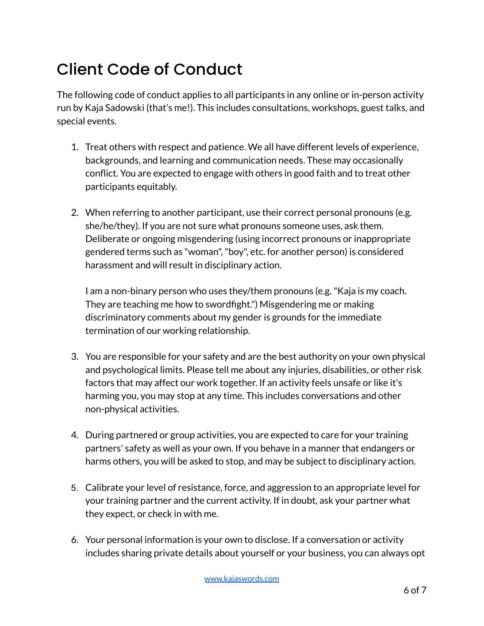# Client Code of Conduct

The following code of conduct applies to all participants in any online or in-person activity run by Kaja Sadowski (that's me!). This includes consultations, workshops, guest talks, and special events.

- 1. Treat others with respect and patience. We all have different levels of experience, backgrounds, and learning and communication needs. These may occasionally conflict. You are expected to engage with others in good faith and to treat other participants equitably.
- 2. When referring to another participant, use their correct personal pronouns (e.g. she/he/they). If you are not sure what pronouns someone uses, ask them. Deliberate or ongoing misgendering (using incorrect pronouns or inappropriate gendered terms such as "woman","boy", etc. for another person) is considered harassment and will result in disciplinary action.

I am a non-binary person who uses they/them pronouns (e.g."Kaja is my coach. They are teaching me how to swordfight.") Misgendering me or making discriminatory comments about my gender is grounds for the immediate termination of our working relationship.

- 3. You are responsible for your safety and are the best authority on your own physical and psychological limits. Please tell me about any injuries, disabilities, or other risk factors that may affect our work together. If an activity feels unsafe or like it's harming you, you may stop at any time. This includes conversations and other non-physical activities.
- 4. During partnered or group activities, you are expected to care for your training partners' safety as well as your own. If you behave in a manner that endangers or harms others, you will be asked to stop, and may be subject to disciplinary action.
- 5. Calibrate your level of resistance, force, and aggression to an appropriate level for your training partner and the current activity. If in doubt, ask your partner what they expect, or check in with me.
- 6. Your personal information is your own to disclose. If a conversation or activity includes sharing private details about yourself or your business, you can always opt